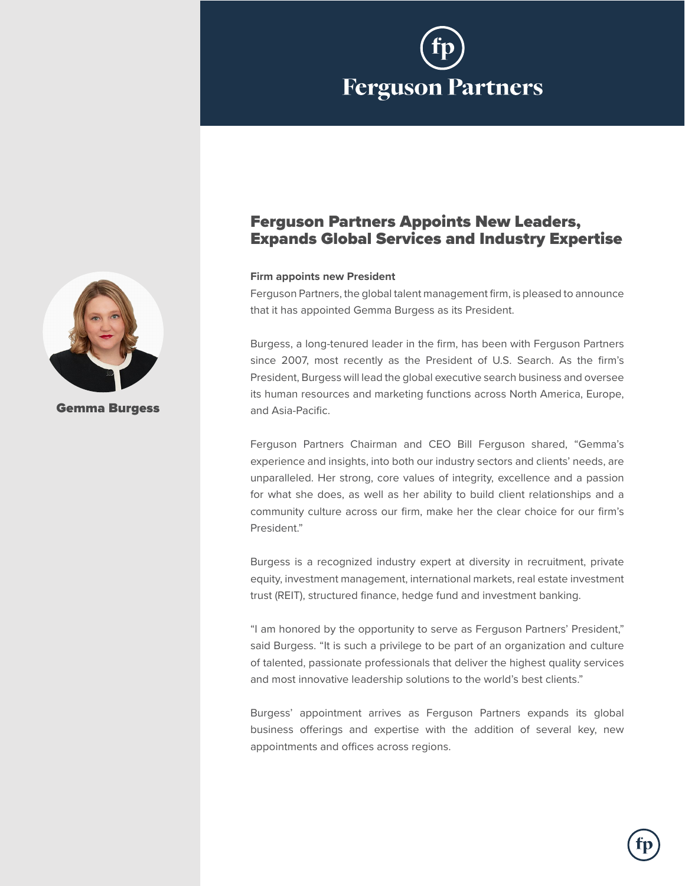

# Ferguson Partners Appoints New Leaders, Expands Global Services and Industry Expertise

## **Firm appoints new President**

Ferguson Partners, the global talent management firm, is pleased to announce that it has appointed Gemma Burgess as its President.

Burgess, a long-tenured leader in the firm, has been with Ferguson Partners since 2007, most recently as the President of U.S. Search. As the firm's President, Burgess will lead the global executive search business and oversee its human resources and marketing functions across North America, Europe, and Asia-Pacific.

Ferguson Partners Chairman and CEO Bill Ferguson shared, "Gemma's experience and insights, into both our industry sectors and clients' needs, are unparalleled. Her strong, core values of integrity, excellence and a passion for what she does, as well as her ability to build client relationships and a community culture across our firm, make her the clear choice for our firm's President."

Burgess is a recognized industry expert at diversity in recruitment, private equity, investment management, international markets, real estate investment trust (REIT), structured finance, hedge fund and investment banking.

"I am honored by the opportunity to serve as Ferguson Partners' President," said Burgess. "It is such a privilege to be part of an organization and culture of talented, passionate professionals that deliver the highest quality services and most innovative leadership solutions to the world's best clients."

Burgess' appointment arrives as Ferguson Partners expands its global business offerings and expertise with the addition of several key, new appointments and offices across regions.



Gemma Burgess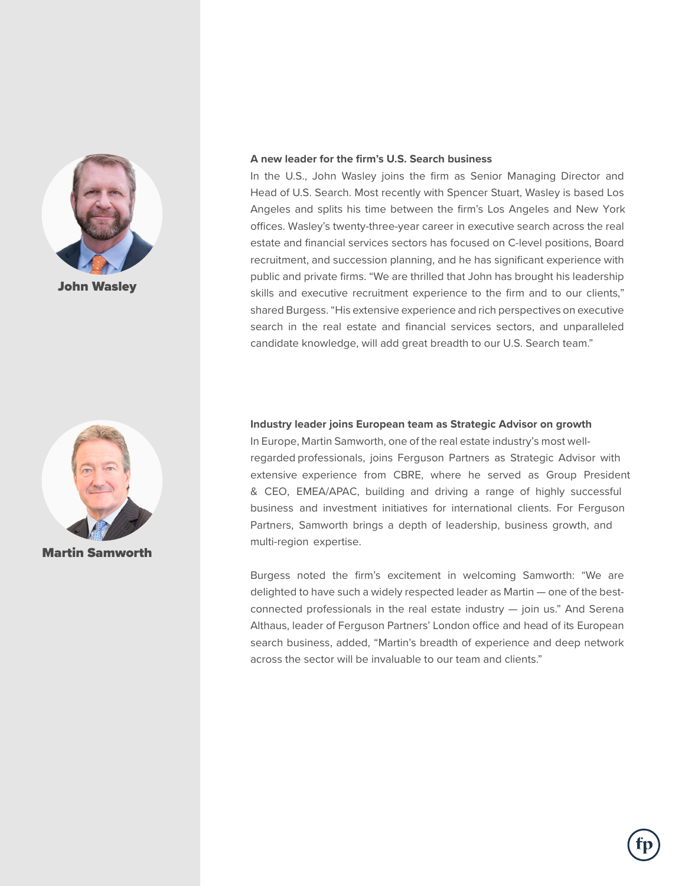

John Wasley



Martin Samworth

#### **A new leader for the firm's U.S. Search business**

In the U.S., John Wasley joins the firm as Senior Managing Director and Head of U.S. Search. Most recently with Spencer Stuart, Wasley is based Los Angeles and splits his time between the firm's Los Angeles and New York offices. Wasley's twenty-three-year career in executive search across the real estate and financial services sectors has focused on C-level positions, Board recruitment, and succession planning, and he has significant experience with public and private firms. "We are thrilled that John has brought his leadership skills and executive recruitment experience to the firm and to our clients," shared Burgess. "His extensive experience and rich perspectives on executive search in the real estate and financial services sectors, and unparalleled candidate knowledge, will add great breadth to our U.S. Search team."

### **Industry leader joins European team as Strategic Advisor on growth**

In Europe, Martin Samworth, one of the real estate industry's most wellregarded professionals, joins Ferguson Partners as Strategic Advisor with extensive experience from CBRE, where he served as Group President & CEO, EMEA/APAC, building and driving a range of highly successful business and investment initiatives for international clients. For Ferguson Partners, Samworth brings a depth of leadership, business growth, and multi-region expertise.

Burgess noted the firm's excitement in welcoming Samworth: "We are delighted to have such a widely respected leader as Martin — one of the bestconnected professionals in the real estate industry — join us." And Serena Althaus, leader of Ferguson Partners' London office and head of its European search business, added, "Martin's breadth of experience and deep network across the sector will be invaluable to our team and clients."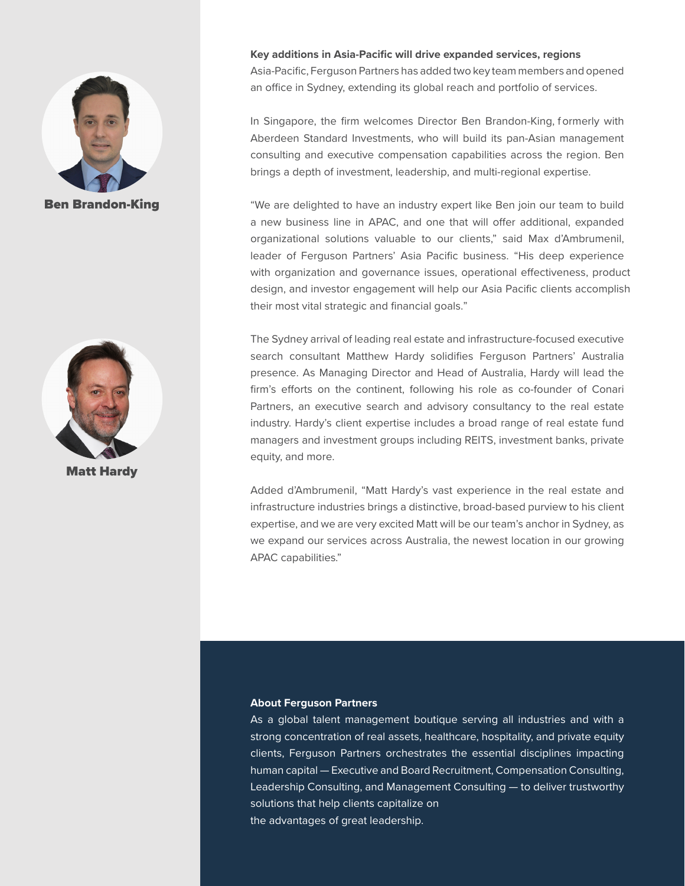

Ben Brandon-King



Matt Hardy

**Key additions in Asia-Pacific will drive expanded services, regions** Asia-Pacific, Ferguson Partners has added two key team members and opened an office in Sydney, extending its global reach and portfolio of services.

In Singapore, the firm welcomes Director Ben Brandon-King, formerly with Aberdeen Standard Investments, who will build its pan-Asian management consulting and executive compensation capabilities across the region. Ben brings a depth of investment, leadership, and multi-regional expertise.

"We are delighted to have an industry expert like Ben join our team to build a new business line in APAC, and one that will offer additional, expanded organizational solutions valuable to our clients," said Max d'Ambrumenil, leader of Ferguson Partners' Asia Pacific business. "His deep experience with organization and governance issues, operational effectiveness, product design, and investor engagement will help our Asia Pacific clients accomplish their most vital strategic and financial goals."

The Sydney arrival of leading real estate and infrastructure-focused executive search consultant Matthew Hardy solidifies Ferguson Partners' Australia presence. As Managing Director and Head of Australia, Hardy will lead the firm's efforts on the continent, following his role as co-founder of Conari Partners, an executive search and advisory consultancy to the real estate industry. Hardy's client expertise includes a broad range of real estate fund managers and investment groups including REITS, investment banks, private equity, and more.

Added d'Ambrumenil, "Matt Hardy's vast experience in the real estate and infrastructure industries brings a distinctive, broad-based purview to his client expertise, and we are very excited Matt will be our team's anchor in Sydney, as we expand our services across Australia, the newest location in our growing APAC capabilities."

#### **About Ferguson Partners**

As a global talent management boutique serving all industries and with a strong concentration of real assets, healthcare, hospitality, and private equity clients, Ferguson Partners orchestrates the essential disciplines impacting human capital — Executive and Board Recruitment, Compensation Consulting, Leadership Consulting, and Management Consulting — to deliver trustworthy solutions that help clients capitalize on the advantages of great leadership.